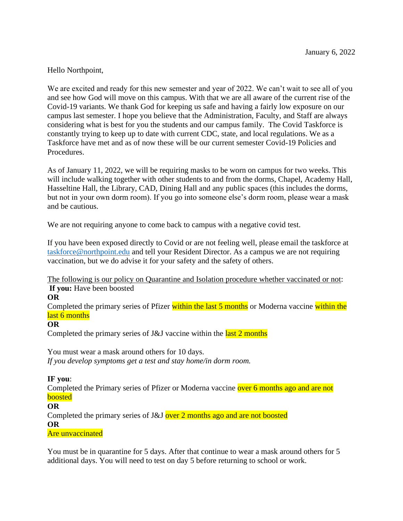# Hello Northpoint,

We are excited and ready for this new semester and year of 2022. We can't wait to see all of you and see how God will move on this campus. With that we are all aware of the current rise of the Covid-19 variants. We thank God for keeping us safe and having a fairly low exposure on our campus last semester. I hope you believe that the Administration, Faculty, and Staff are always considering what is best for you the students and our campus family. The Covid Taskforce is constantly trying to keep up to date with current CDC, state, and local regulations. We as a Taskforce have met and as of now these will be our current semester Covid-19 Policies and Procedures.

As of January 11, 2022, we will be requiring masks to be worn on campus for two weeks. This will include walking together with other students to and from the dorms, Chapel, Academy Hall, Hasseltine Hall, the Library, CAD, Dining Hall and any public spaces (this includes the dorms, but not in your own dorm room). If you go into someone else's dorm room, please wear a mask and be cautious.

We are not requiring anyone to come back to campus with a negative covid test.

If you have been exposed directly to Covid or are not feeling well, please email the taskforce at [taskforce@northpoint.edu](mailto:taskforce@northpoint.edu) and tell your Resident Director. As a campus we are not requiring vaccination, but we do advise it for your safety and the safety of others.

The following is our policy on Quarantine and Isolation procedure whether vaccinated or not: **If you:** Have been boosted

#### **OR**

Completed the primary series of Pfizer within the last 5 months or Moderna vaccine within the last 6 months

#### **OR**

Completed the primary series of J&J vaccine within the last 2 months

You must wear a mask around others for 10 days. *If you develop symptoms get a test and stay home/in dorm room.*

#### **IF you**:

Completed the Primary series of Pfizer or Moderna vaccine over 6 months ago and are not boosted

### **OR**

Completed the primary series of J&J over 2 months ago and are not boosted **OR**

#### Are unvaccinated

You must be in quarantine for 5 days. After that continue to wear a mask around others for 5 additional days. You will need to test on day 5 before returning to school or work.